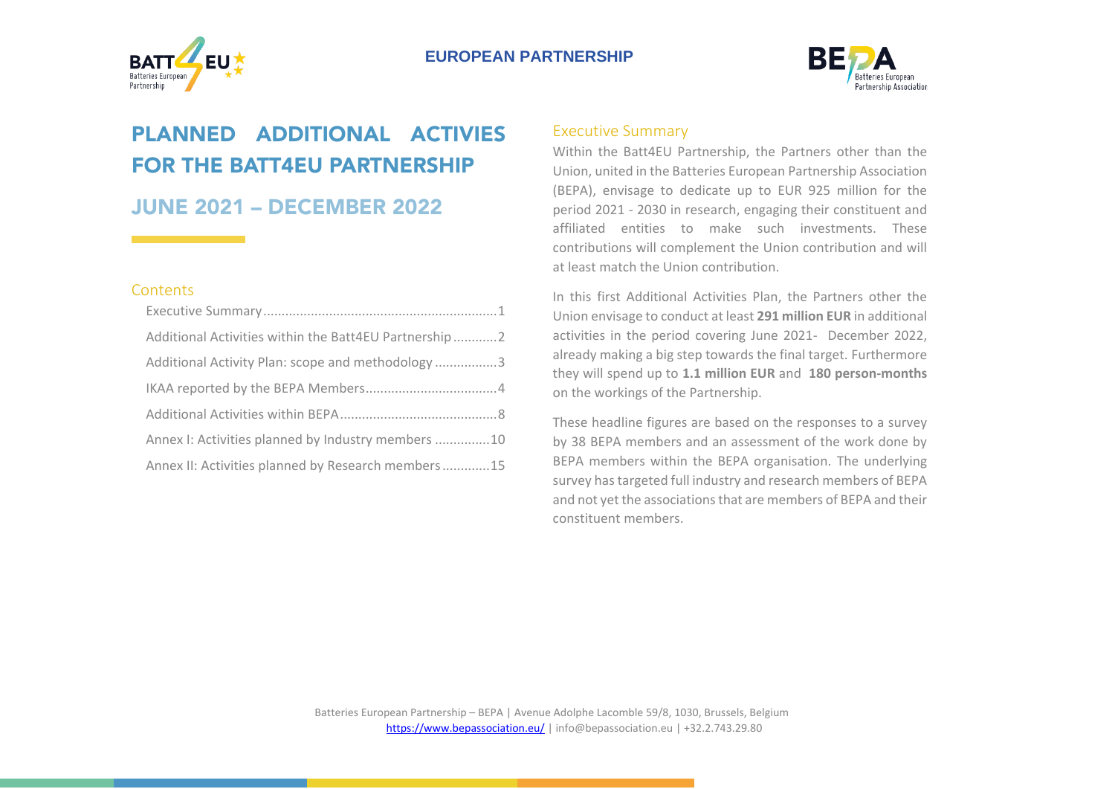



# PLANNED ADDITIONAL ACTIVIES FOR THE BATT4EU PARTNERSHIP

JUNE 2021 – DECEMBER 2022

#### **Contents**

| Additional Activities within the Batt4EU Partnership 2 |
|--------------------------------------------------------|
| Additional Activity Plan: scope and methodology 3      |
|                                                        |
|                                                        |
| Annex I: Activities planned by Industry members 10     |
| Annex II: Activities planned by Research members15     |

#### <span id="page-0-0"></span>Executive Summary

Within the Batt4EU Partnership, the Partners other than the Union, united in the Batteries European Partnership Association (BEPA), envisage to dedicate up to EUR 925 million for the period 2021 - 2030 in research, engaging their constituent and affiliated entities to make such investments. These contributions will complement the Union contribution and will at least match the Union contribution.

In this first Additional Activities Plan, the Partners other the Union envisage to conduct at least **291 million EUR** in additional activities in the period covering June 2021- December 2022, already making a big step towards the final target. Furthermore they will spend up to **1.1 million EUR** and **180 person-months** on the workings of the Partnership.

These headline figures are based on the responses to a survey by 38 BEPA members and an assessment of the work done by BEPA members within the BEPA organisation. The underlying survey has targeted full industry and research members of BEPA and not yet the associations that are members of BEPA and their constituent members.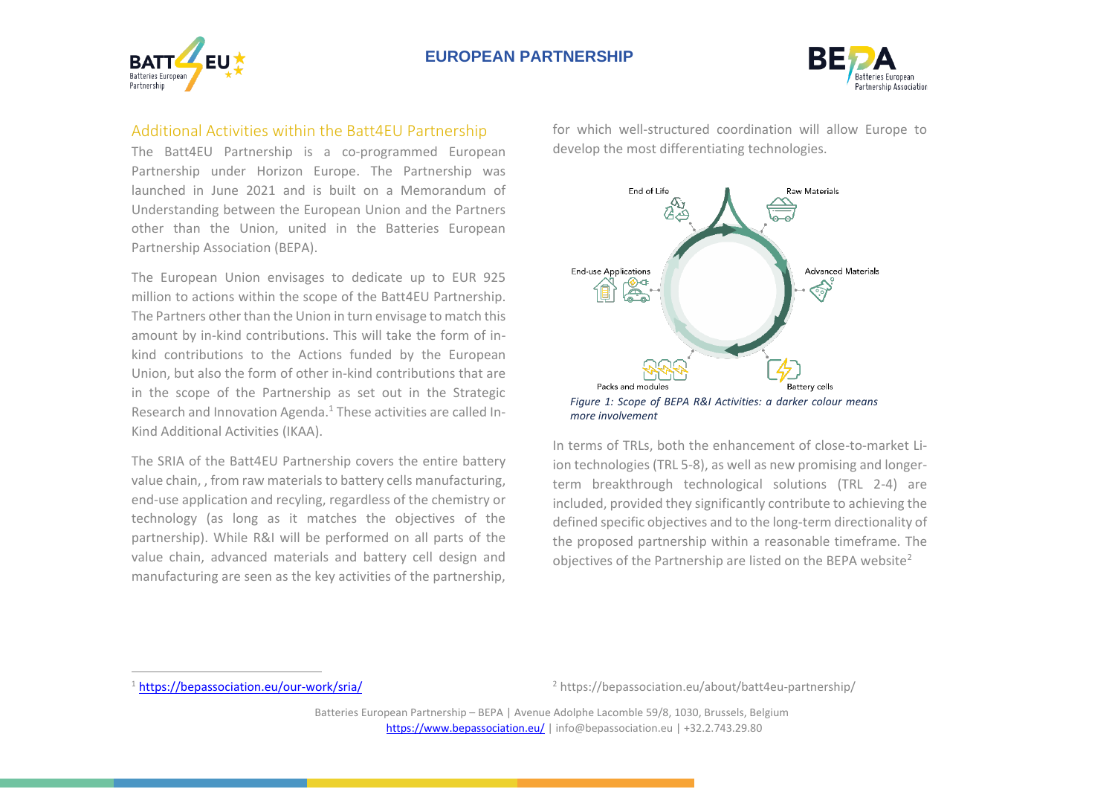



# <span id="page-1-0"></span>Additional Activities within the Batt4EU Partnership

The Batt4EU Partnership is a co-programmed European Partnership under Horizon Europe. The Partnership was launched in June 2021 and is built on a Memorandum of Understanding between the European Union and the Partners other than the Union, united in the Batteries European Partnership Association (BEPA).

The European Union envisages to dedicate up to EUR 925 million to actions within the scope of the Batt4EU Partnership. The Partners other than the Union in turn envisage to match this amount by in-kind contributions. This will take the form of inkind contributions to the Actions funded by the European Union, but also the form of other in-kind contributions that are in the scope of the Partnership as set out in the Strategic Research and Innovation Agenda. 1 These activities are called In-Kind Additional Activities (IKAA).

The SRIA of the Batt4EU Partnership covers the entire battery value chain, , from raw materials to battery cells manufacturing, end-use application and recyling, regardless of the chemistry or technology (as long as it matches the objectives of the partnership). While R&I will be performed on all parts of the value chain, advanced materials and battery cell design and manufacturing are seen as the key activities of the partnership,

for which well-structured coordination will allow Europe to develop the most differentiating technologies.



In terms of TRLs, both the enhancement of close-to-market Liion technologies (TRL 5-8), as well as new promising and longerterm breakthrough technological solutions (TRL 2-4) are included, provided they significantly contribute to achieving the defined specific objectives and to the long-term directionality of the proposed partnership within a reasonable timeframe. The objectives of the Partnership are listed on the BEPA website<sup>2</sup>

<sup>2</sup> https://bepassociation.eu/about/batt4eu-partnership/

Batteries European Partnership – BEPA | Avenue Adolphe Lacomble 59/8, 1030, Brussels, Belgium <https://www.bepassociation.eu/> | [info@bepassociation.eu](mailto:info@bepassociation.eu) | +32.2.743.29.80

<sup>1</sup> <https://bepassociation.eu/our-work/sria/>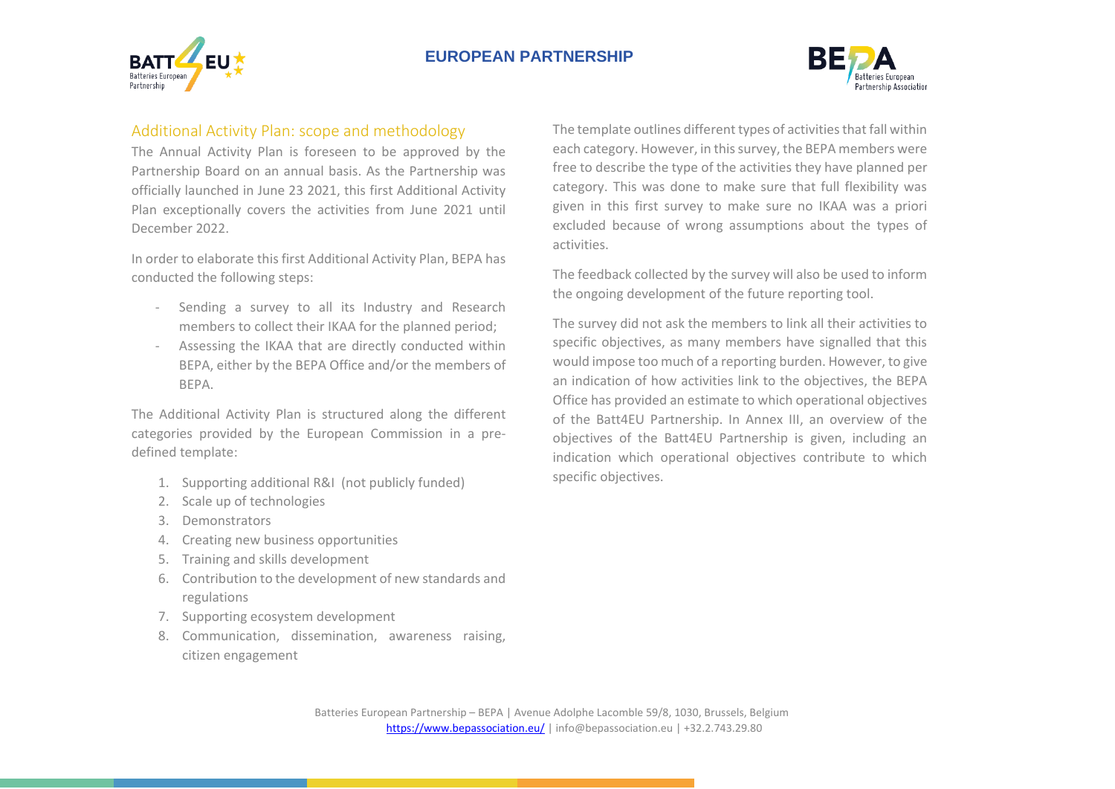



## <span id="page-2-0"></span>Additional Activity Plan: scope and methodology

The Annual Activity Plan is foreseen to be approved by the Partnership Board on an annual basis. As the Partnership was officially launched in June 23 2021, this first Additional Activity Plan exceptionally covers the activities from June 2021 until December 2022.

In order to elaborate this first Additional Activity Plan, BEPA has conducted the following steps:

- Sending a survey to all its Industry and Research members to collect their IKAA for the planned period;
- Assessing the IKAA that are directly conducted within BEPA, either by the BEPA Office and/or the members of BEPA.

The Additional Activity Plan is structured along the different categories provided by the European Commission in a predefined template:

- 1. Supporting additional R&I (not publicly funded)
- 2. Scale up of technologies
- 3. Demonstrators
- 4. Creating new business opportunities
- 5. Training and skills development
- 6. Contribution to the development of new standards and regulations
- 7. Supporting ecosystem development
- 8. Communication, dissemination, awareness raising, citizen engagement

The template outlines different types of activities that fall within each category. However, in this survey, the BEPA members were free to describe the type of the activities they have planned per category. This was done to make sure that full flexibility was given in this first survey to make sure no IKAA was a priori excluded because of wrong assumptions about the types of activities.

The feedback collected by the survey will also be used to inform the ongoing development of the future reporting tool.

The survey did not ask the members to link all their activities to specific objectives, as many members have signalled that this would impose too much of a reporting burden. However, to give an indication of how activities link to the objectives, the BEPA Office has provided an estimate to which operational objectives of the Batt4EU Partnership. In Annex III, an overview of the objectives of the Batt4EU Partnership is given, including an indication which operational objectives contribute to which specific objectives.

Batteries European Partnership – BEPA | Avenue Adolphe Lacomble 59/8, 1030, Brussels, Belgium <https://www.bepassociation.eu/> | [info@bepassociation.eu](mailto:info@bepassociation.eu) | +32.2.743.29.80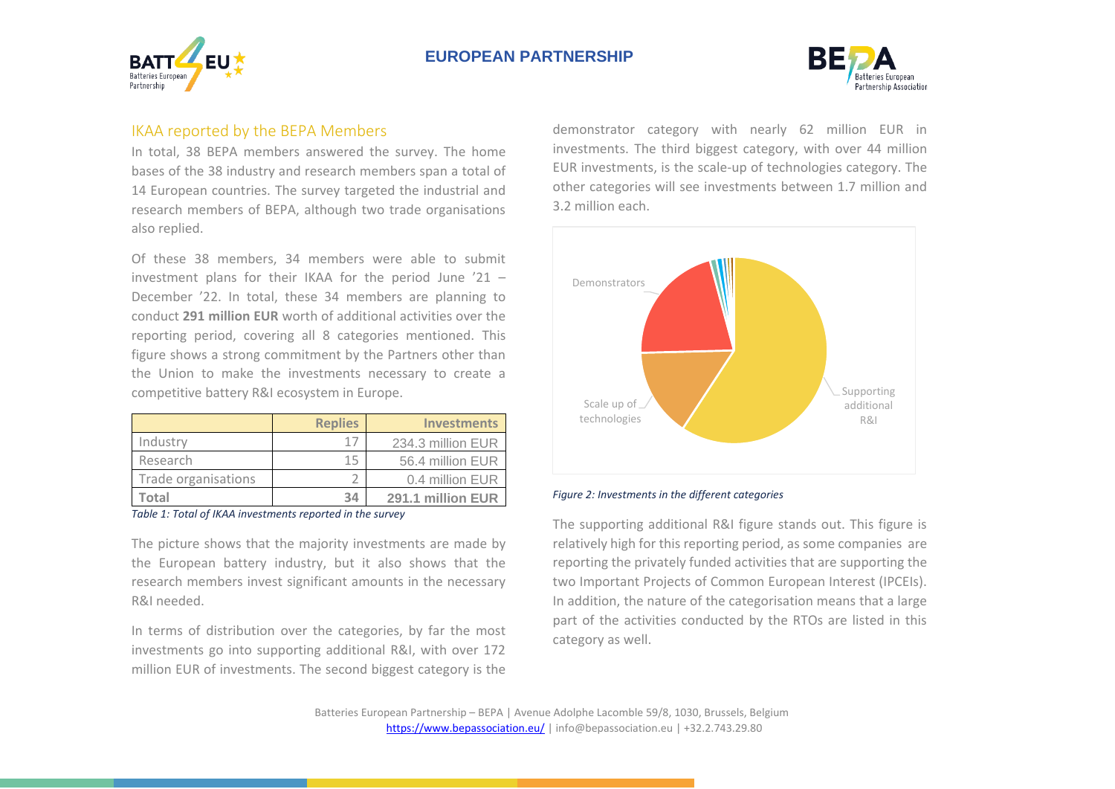



## <span id="page-3-0"></span>IKAA reported by the BEPA Members

In total, 38 BEPA members answered the survey. The home bases of the 38 industry and research members span a total of 14 European countries. The survey targeted the industrial and research members of BEPA, although two trade organisations also replied.

Of these 38 members, 34 members were able to submit investment plans for their IKAA for the period June '21 – December '22. In total, these 34 members are planning to conduct **291 million EUR** worth of additional activities over the reporting period, covering all 8 categories mentioned. This figure shows a strong commitment by the Partners other than the Union to make the investments necessary to create a competitive battery R&I ecosystem in Europe.

|                     | <b>Replies</b> | <b>Investments</b> |
|---------------------|----------------|--------------------|
| Industry            | 17             | 234.3 million EUR  |
| Research            | 15             | 56.4 million EUR   |
| Trade organisations |                | 0.4 million EUR    |
| Total               | 34             | 291.1 million EUR  |

*Table 1: Total of IKAA investments reported in the survey*

The picture shows that the majority investments are made by the European battery industry, but it also shows that the research members invest significant amounts in the necessary R&I needed.

In terms of distribution over the categories, by far the most investments go into supporting additional R&I, with over 172 million EUR of investments. The second biggest category is the

demonstrator category with nearly 62 million EUR in investments. The third biggest category, with over 44 million EUR investments, is the scale-up of technologies category. The other categories will see investments between 1.7 million and 3.2 million each.



#### *Figure 2: Investments in the different categories*

The supporting additional R&I figure stands out. This figure is relatively high for this reporting period, as some companies are reporting the privately funded activities that are supporting the two Important Projects of Common European Interest (IPCEIs). In addition, the nature of the categorisation means that a large part of the activities conducted by the RTOs are listed in this category as well.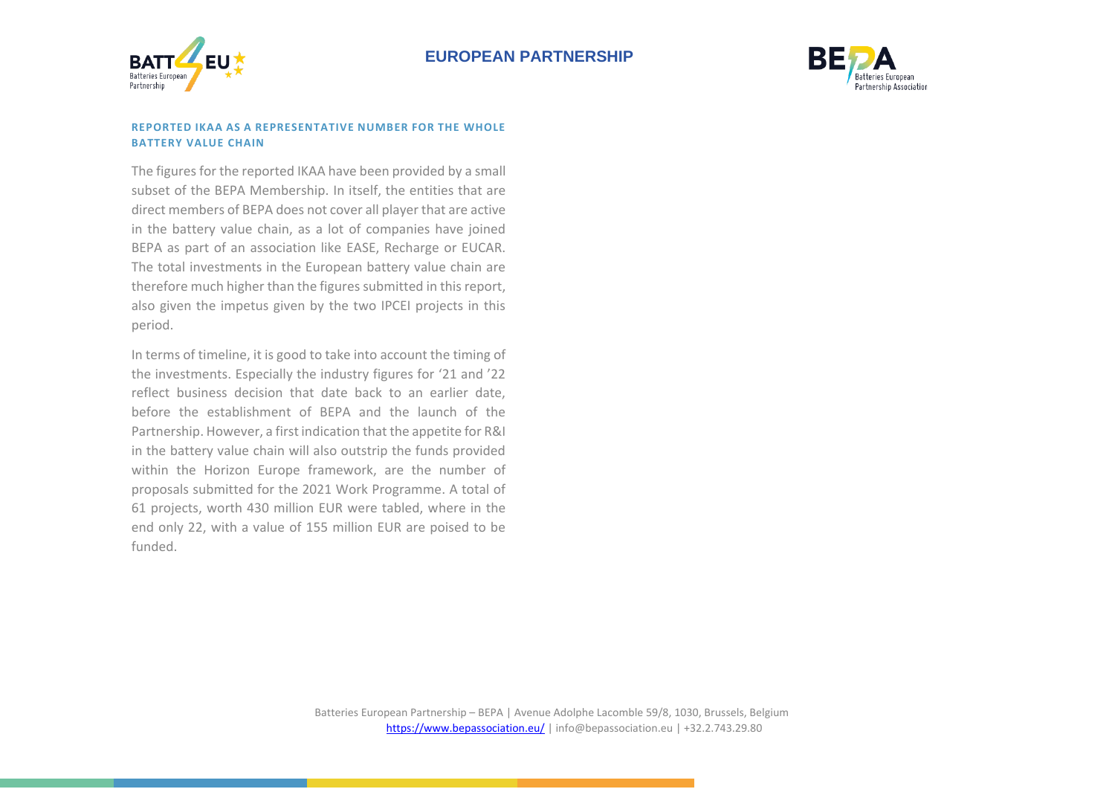



#### **REPORTED IKAA AS A REPRESENTATIVE NUMBER FOR THE WHOLE BATTERY VALUE CHAIN**

The figures for the reported IKAA have been provided by a small subset of the BEPA Membership. In itself, the entities that are direct members of BEPA does not cover all player that are active in the battery value chain, as a lot of companies have joined BEPA as part of an association like EASE, Recharge or EUCAR. The total investments in the European battery value chain are therefore much higher than the figures submitted in this report, also given the impetus given by the two IPCEI projects in this period.

In terms of timeline, it is good to take into account the timing of the investments. Especially the industry figures for '21 and '22 reflect business decision that date back to an earlier date, before the establishment of BEPA and the launch of the Partnership. However, a first indication that the appetite for R&I in the battery value chain will also outstrip the funds provided within the Horizon Europe framework, are the number of proposals submitted for the 2021 Work Programme. A total of 61 projects, worth 430 million EUR were tabled, where in the end only 22, with a value of 155 million EUR are poised to be funded.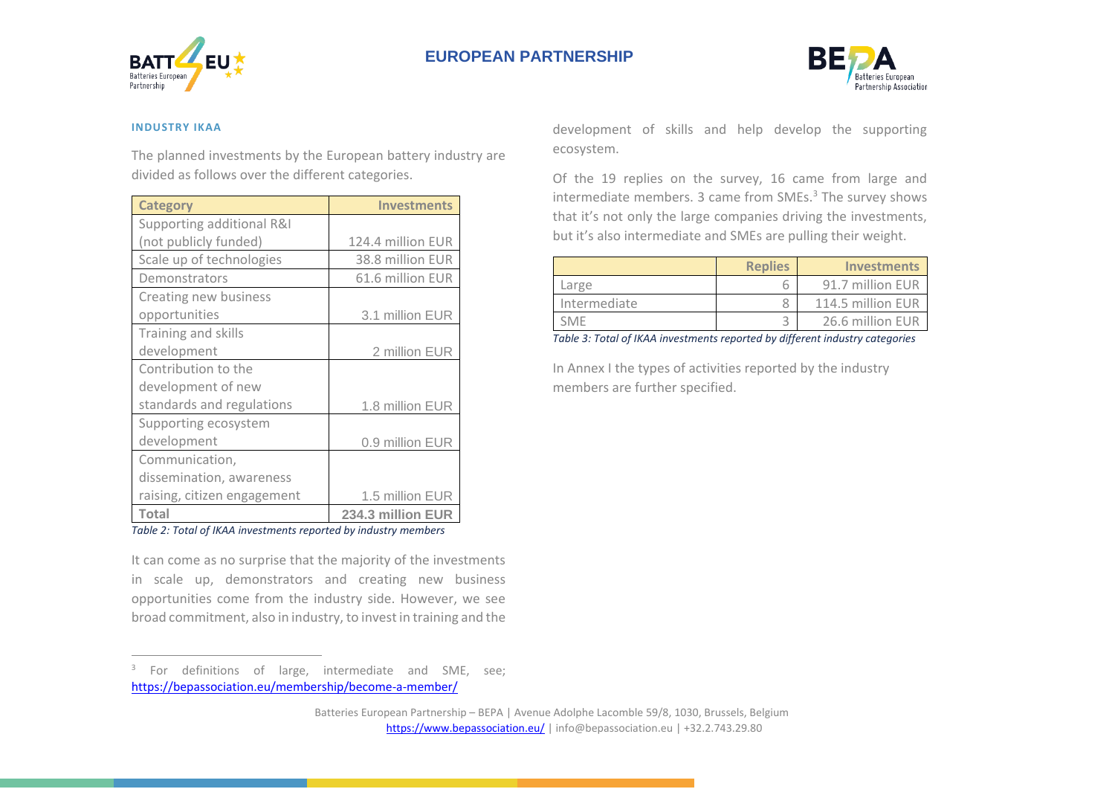



#### **INDUSTRY IKAA**

The planned investments by the European battery industry are divided as follows over the different categories.

| <b>Category</b>             | <b>Investments</b> |
|-----------------------------|--------------------|
| Supporting additional R&I   |                    |
| (not publicly funded)       | 124.4 million EUR  |
| Scale up of technologies    | 38.8 million EUR   |
| Demonstrators               | 61.6 million EUR   |
| Creating new business       |                    |
| opportunities               | 3.1 million EUR    |
| Training and skills         |                    |
| development                 | 2 million EUR      |
| Contribution to the         |                    |
| development of new          |                    |
| standards and regulations   | 1.8 million EUR    |
| Supporting ecosystem        |                    |
| development                 | 0.9 million EUR    |
| Communication,              |                    |
| dissemination, awareness    |                    |
| raising, citizen engagement | 1.5 million EUR    |
| <b>Total</b>                | 234.3 million EUR  |

*Table 2: Total of IKAA investments reported by industry members*

It can come as no surprise that the majority of the investments in scale up, demonstrators and creating new business opportunities come from the industry side. However, we see broad commitment, also in industry, to invest in training and the

<sup>3</sup> For definitions of large, intermediate and SME, see; <https://bepassociation.eu/membership/become-a-member/>

development of skills and help develop the supporting ecosystem.

Of the 19 replies on the survey, 16 came from large and intermediate members. 3 came from SMEs.<sup>3</sup> The survey shows that it's not only the large companies driving the investments, but it's also intermediate and SMEs are pulling their weight.

| <b>Replies</b> | <b>Investments</b> |
|----------------|--------------------|
|                | 91.7 million EUR   |
|                | 114.5 million EUR  |
|                | 26.6 million EUR   |
|                | .                  |

*Table 3: Total of IKAA investments reported by different industry categories*

In Annex I the types of activities reported by the industry members are further specified.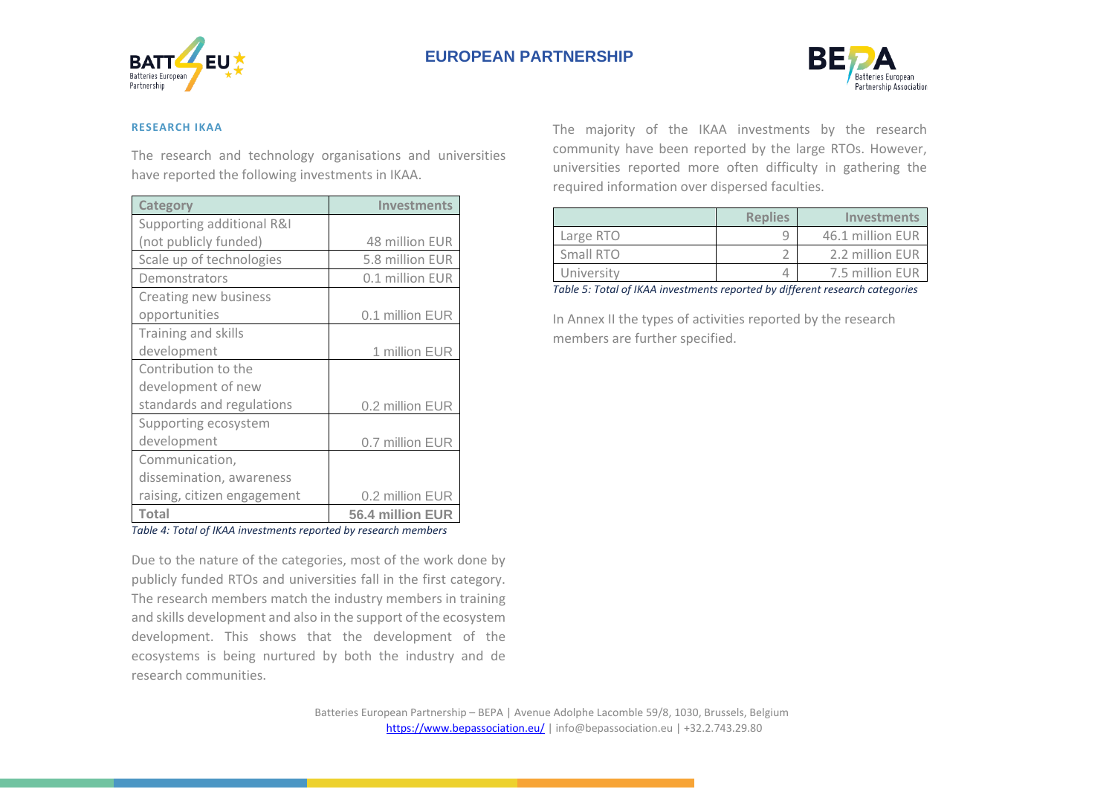



#### **RESEARCH IKAA**

The research and technology organisations and universities have reported the following investments in IKAA.

| <b>Category</b>             | <b>Investments</b> |  |  |
|-----------------------------|--------------------|--|--|
| Supporting additional R&I   |                    |  |  |
| (not publicly funded)       | 48 million EUR     |  |  |
| Scale up of technologies    | 5.8 million EUR    |  |  |
| Demonstrators               | 0.1 million EUR    |  |  |
| Creating new business       |                    |  |  |
| opportunities               | 0.1 million EUR    |  |  |
| Training and skills         |                    |  |  |
| development                 | 1 million EUR      |  |  |
| Contribution to the         |                    |  |  |
| development of new          |                    |  |  |
| standards and regulations   | 0.2 million EUR    |  |  |
| Supporting ecosystem        |                    |  |  |
| development                 | 0.7 million EUR    |  |  |
| Communication,              |                    |  |  |
| dissemination, awareness    |                    |  |  |
| raising, citizen engagement | 0.2 million EUR    |  |  |
| <b>Total</b>                | 56.4 million EUR   |  |  |

*Table 4: Total of IKAA investments reported by research members*

Due to the nature of the categories, most of the work done by publicly funded RTOs and universities fall in the first category. The research members match the industry members in training and skills development and also in the support of the ecosystem development. This shows that the development of the ecosystems is being nurtured by both the industry and de research communities.

The majority of the IKAA investments by the research community have been reported by the large RTOs. However, universities reported more often difficulty in gathering the required information over dispersed faculties.

|            | <b>Replies</b> | <b>Investments</b> |
|------------|----------------|--------------------|
| Large RTO  |                | 46.1 million EUR   |
| Small RTO  |                | 2.2 million EUR    |
| University |                | 7.5 million EUR    |

*Table 5: Total of IKAA investments reported by different research categories*

In Annex II the types of activities reported by the research members are further specified.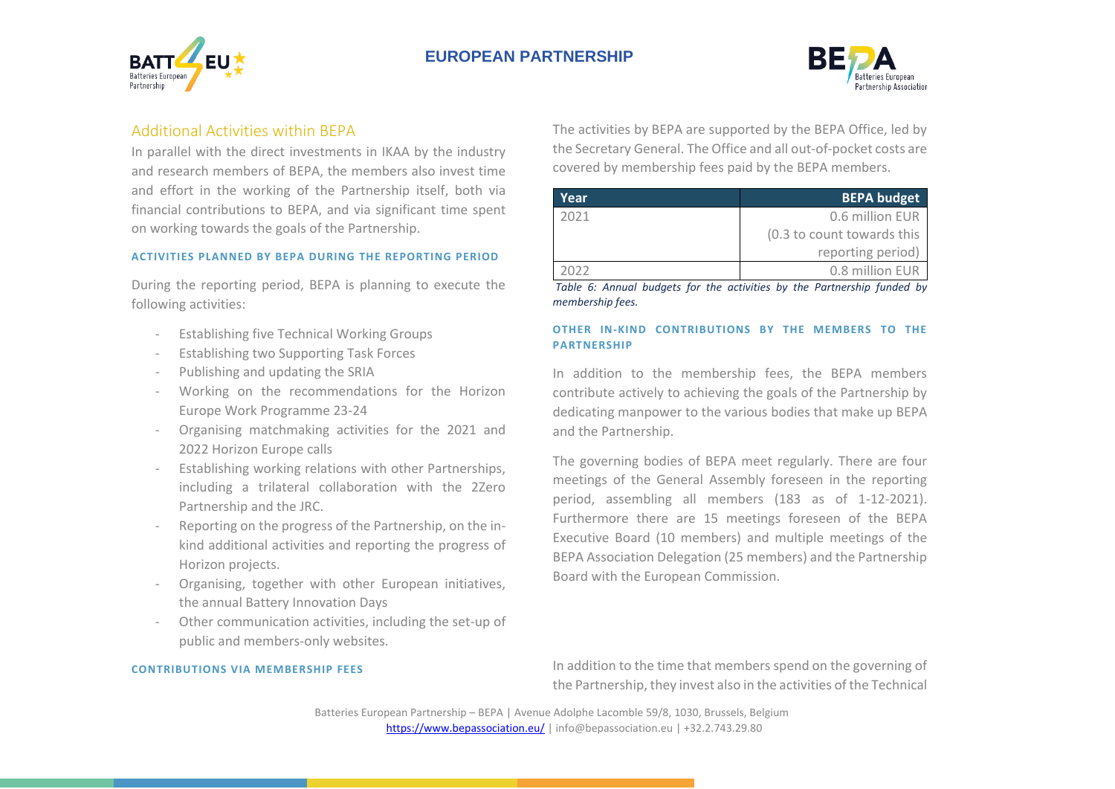



# <span id="page-7-0"></span>Additional Activities within BEPA

In parallel with the direct investments in IKAA by the industry and research members of BEPA, the members also invest time and effort in the working of the Partnership itself, both via financial contributions to BEPA, and via significant time spent on working towards the goals of the Partnership.

#### **ACTIVITIES PLANNED BY BEPA DURING THE REPORTING PERIOD**

During the reporting period, BEPA is planning to execute the following activities:

- Establishing five Technical Working Groups
- Establishing two Supporting Task Forces
- Publishing and updating the SRIA
- Working on the recommendations for the Horizon Europe Work Programme 23-24
- Organising matchmaking activities for the 2021 and 2022 Horizon Europe calls
- Establishing working relations with other Partnerships, including a trilateral collaboration with the 2Zero Partnership and the JRC.
- Reporting on the progress of the Partnership, on the inkind additional activities and reporting the progress of Horizon projects.
- Organising, together with other European initiatives, the annual Battery Innovation Days
- Other communication activities, including the set-up of public and members-only websites.

#### **CONTRIBUTIONS VIA MEMBERSHIP FEES**

The activities by BEPA are supported by the BEPA Office, led by the Secretary General. The Office and all out-of-pocket costs are covered by membership fees paid by the BEPA members.

| Year | <b>BEPA budget</b>         |
|------|----------------------------|
| 2021 | 0.6 million EUR            |
|      | (0.3 to count towards this |
|      | reporting period)          |
| วกวว | 0.8 million EUR            |

*Table 6: Annual budgets for the activities by the Partnership funded by membership fees.*

#### **OTHER IN-KIND CONTRIBUTIONS BY THE MEMBERS TO THE PARTNERSHIP**

In addition to the membership fees, the BEPA members contribute actively to achieving the goals of the Partnership by dedicating manpower to the various bodies that make up BEPA and the Partnership.

The governing bodies of BEPA meet regularly. There are four meetings of the General Assembly foreseen in the reporting period, assembling all members (183 as of 1-12-2021). Furthermore there are 15 meetings foreseen of the BEPA Executive Board (10 members) and multiple meetings of the BEPA Association Delegation (25 members) and the Partnership Board with the European Commission.

In addition to the time that members spend on the governing of the Partnership, they invest also in the activities of the Technical

Batteries European Partnership – BEPA | Avenue Adolphe Lacomble 59/8, 1030, Brussels, Belgium <https://www.bepassociation.eu/> | [info@bepassociation.eu](mailto:info@bepassociation.eu) | +32.2.743.29.80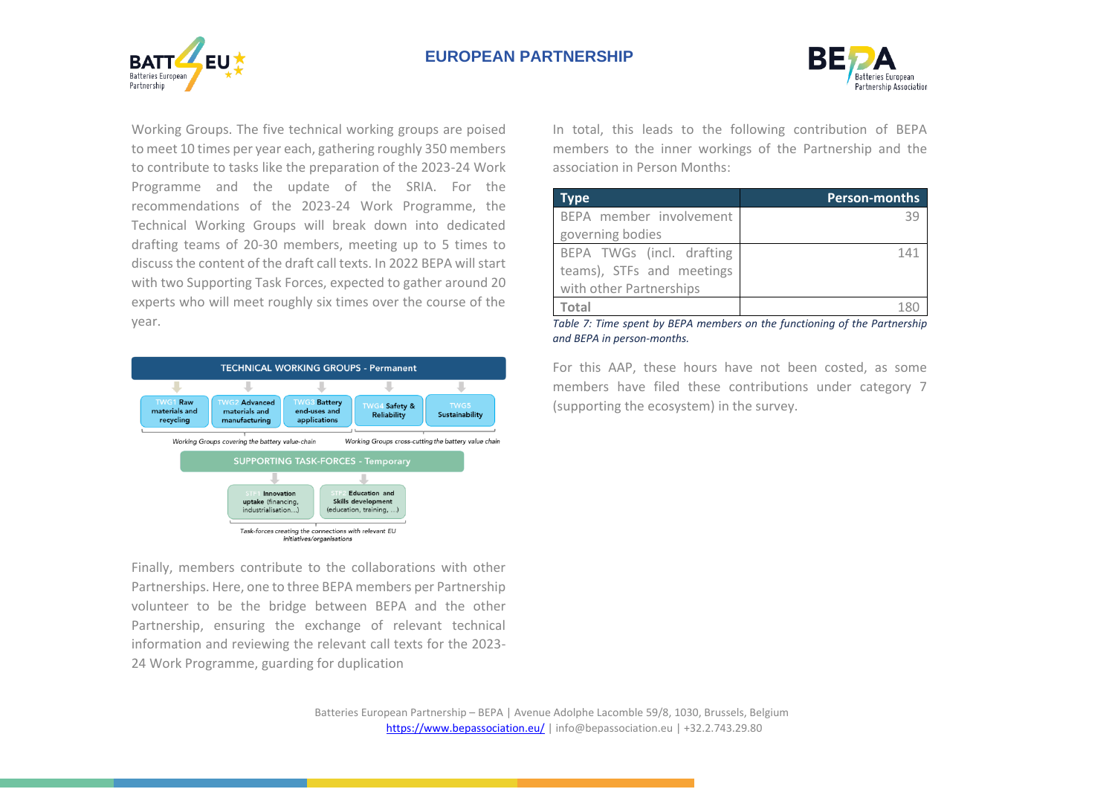



Working Groups. The five technical working groups are poised to meet 10 times per year each, gathering roughly 350 members to contribute to tasks like the preparation of the 2023-24 Work Programme and the update of the SRIA. For the recommendations of the 2023-24 Work Programme, the Technical Working Groups will break down into dedicated drafting teams of 20-30 members, meeting up to 5 times to discuss the content of the draft call texts. In 2022 BEPA will start with two Supporting Task Forces, expected to gather around 20 experts who will meet roughly six times over the course of the year.



Finally, members contribute to the collaborations with other Partnerships. Here, one to three BEPA members per Partnership volunteer to be the bridge between BEPA and the other Partnership, ensuring the exchange of relevant technical information and reviewing the relevant call texts for the 2023- 24 Work Programme, guarding for duplication

In total, this leads to the following contribution of BEPA members to the inner workings of the Partnership and the association in Person Months:

| Tvpe                      | <b>Person-months</b> |
|---------------------------|----------------------|
| BEPA member involvement   |                      |
| governing bodies          |                      |
| BEPA TWGs (incl. drafting | 141                  |
| teams), STFs and meetings |                      |
| with other Partnerships   |                      |
| Total                     |                      |

*Table 7: Time spent by BEPA members on the functioning of the Partnership and BEPA in person-months.*

For this AAP, these hours have not been costed, as some members have filed these contributions under category 7 (supporting the ecosystem) in the survey.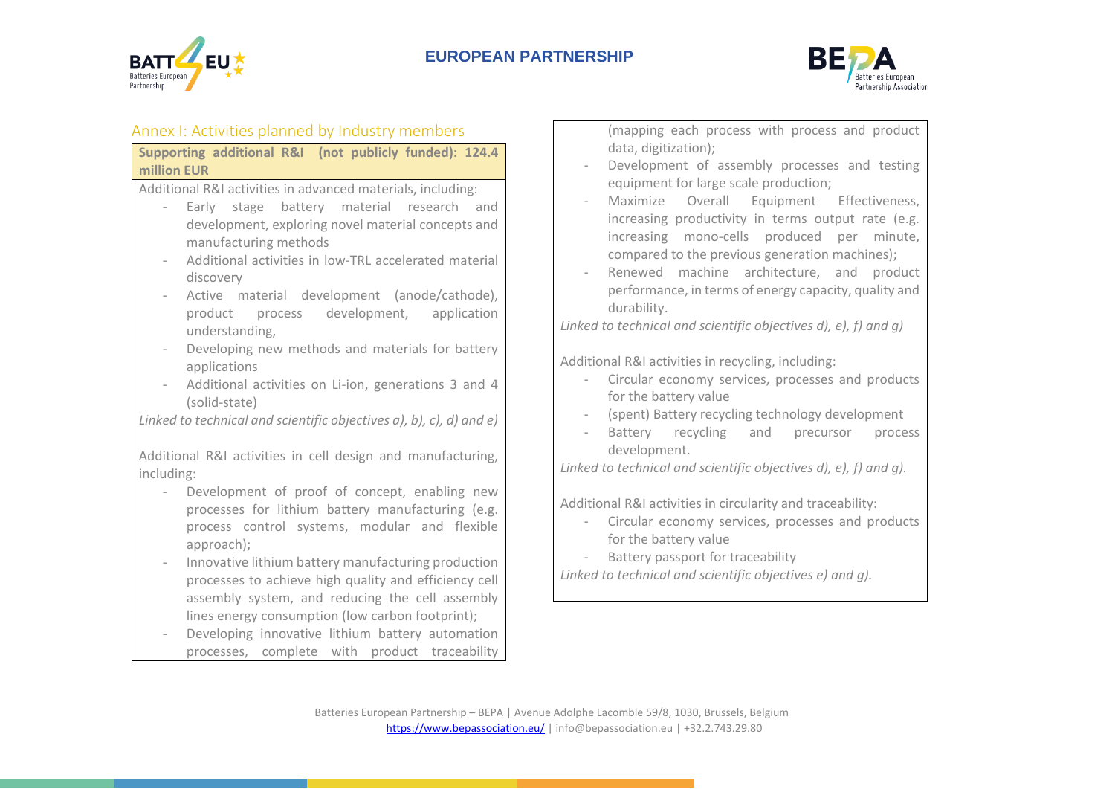



# <span id="page-9-0"></span>Annex I: Activities planned by Industry members

| Supporting additional R&I (not publicly funded): 124.4 |  |  |  |
|--------------------------------------------------------|--|--|--|
| million EUR                                            |  |  |  |

Additional R&I activities in advanced materials, including:

- Early stage battery material research and development, exploring novel material concepts and manufacturing methods
- Additional activities in low-TRL accelerated material discovery
- Active material development (anode/cathode), product process development, application understanding,
- Developing new methods and materials for battery applications
- Additional activities on Li-ion, generations 3 and 4 (solid-state)

*Linked to technical and scientific objectives a), b), c), d) and e)*

Additional R&I activities in cell design and manufacturing, including:

- Development of proof of concept, enabling new processes for lithium battery manufacturing (e.g. process control systems, modular and flexible approach);
- Innovative lithium battery manufacturing production processes to achieve high quality and efficiency cell assembly system, and reducing the cell assembly lines energy consumption (low carbon footprint);
- Developing innovative lithium battery automation processes, complete with product traceability

(mapping each process with process and product data, digitization);

- Development of assembly processes and testing equipment for large scale production;
- Maximize Overall Equipment Effectiveness, increasing productivity in terms output rate (e.g. increasing mono-cells produced per minute, compared to the previous generation machines);
- Renewed machine architecture, and product performance, in terms of energy capacity, quality and durability.

*Linked to technical and scientific objectives d), e), f) and g)*

Additional R&I activities in recycling, including:

- Circular economy services, processes and products for the battery value
- (spent) Battery recycling technology development
- Battery recycling and precursor process development.

*Linked to technical and scientific objectives d), e), f) and g).*

Additional R&I activities in circularity and traceability:

- Circular economy services, processes and products for the battery value

Battery passport for traceability

*Linked to technical and scientific objectives e) and g).*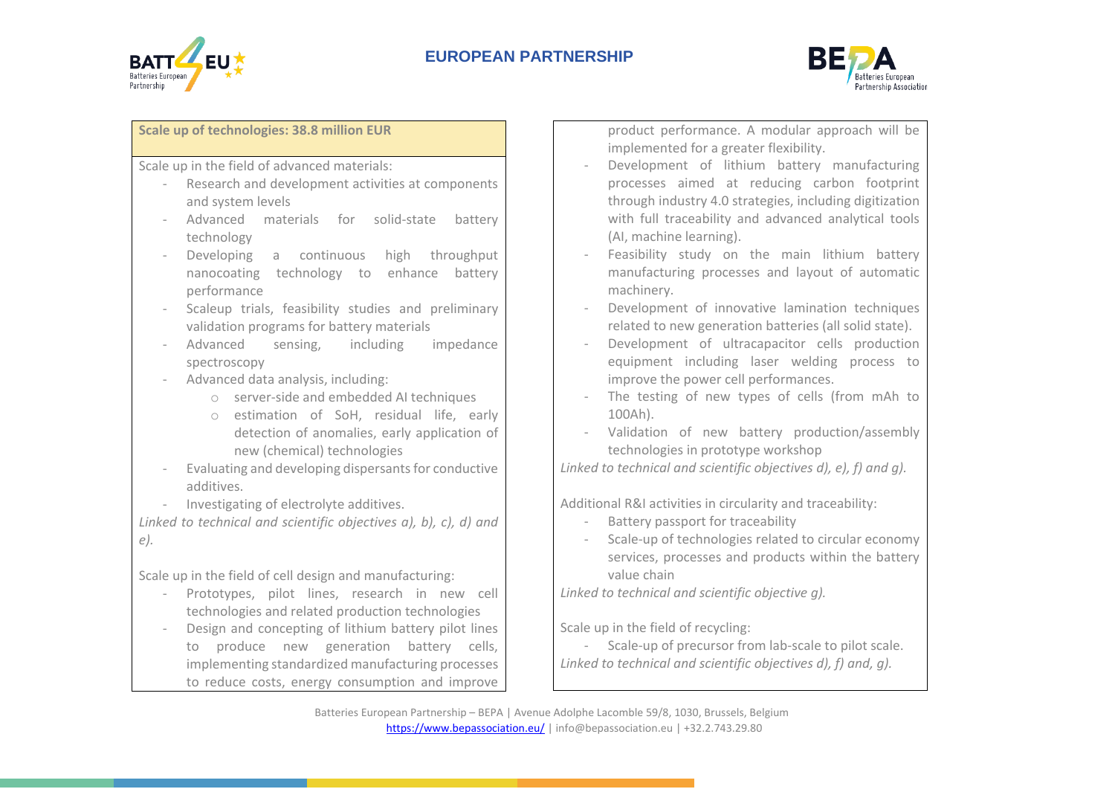



#### **Scale up of technologies: 38.8 million EUR**

Scale up in the field of advanced materials:

- Research and development activities at components and system levels
- Advanced materials for solid-state battery technology
- Developing a continuous high throughput nanocoating technology to enhance battery performance
- Scaleup trials, feasibility studies and preliminary validation programs for battery materials
- Advanced sensing, including impedance spectroscopy
- Advanced data analysis, including:
	- o server-side and embedded AI techniques
	- o estimation of SoH, residual life, early detection of anomalies, early application of new (chemical) technologies
- Evaluating and developing dispersants for conductive additives.
- Investigating of electrolyte additives.

*Linked to technical and scientific objectives a), b), c), d) and e).*

Scale up in the field of cell design and manufacturing:

- Prototypes, pilot lines, research in new cell technologies and related production technologies
- Design and concepting of lithium battery pilot lines to produce new generation battery cells, implementing standardized manufacturing processes to reduce costs, energy consumption and improve

product performance. A modular approach will be implemented for a greater flexibility.

- Development of lithium battery manufacturing processes aimed at reducing carbon footprint through industry 4.0 strategies, including digitization with full traceability and advanced analytical tools (AI, machine learning).
- Feasibility study on the main lithium battery manufacturing processes and layout of automatic machinery.
- Development of innovative lamination techniques related to new generation batteries (all solid state).
- Development of ultracapacitor cells production equipment including laser welding process to improve the power cell performances.
- The testing of new types of cells (from mAh to 100Ah).
- Validation of new battery production/assembly technologies in prototype workshop

*Linked to technical and scientific objectives d), e), f) and g).*

Additional R&I activities in circularity and traceability:

- Battery passport for traceability
- Scale-up of technologies related to circular economy services, processes and products within the battery value chain

*Linked to technical and scientific objective g).*

Scale up in the field of recycling:

- Scale-up of precursor from lab-scale to pilot scale. *Linked to technical and scientific objectives d), f) and, g).*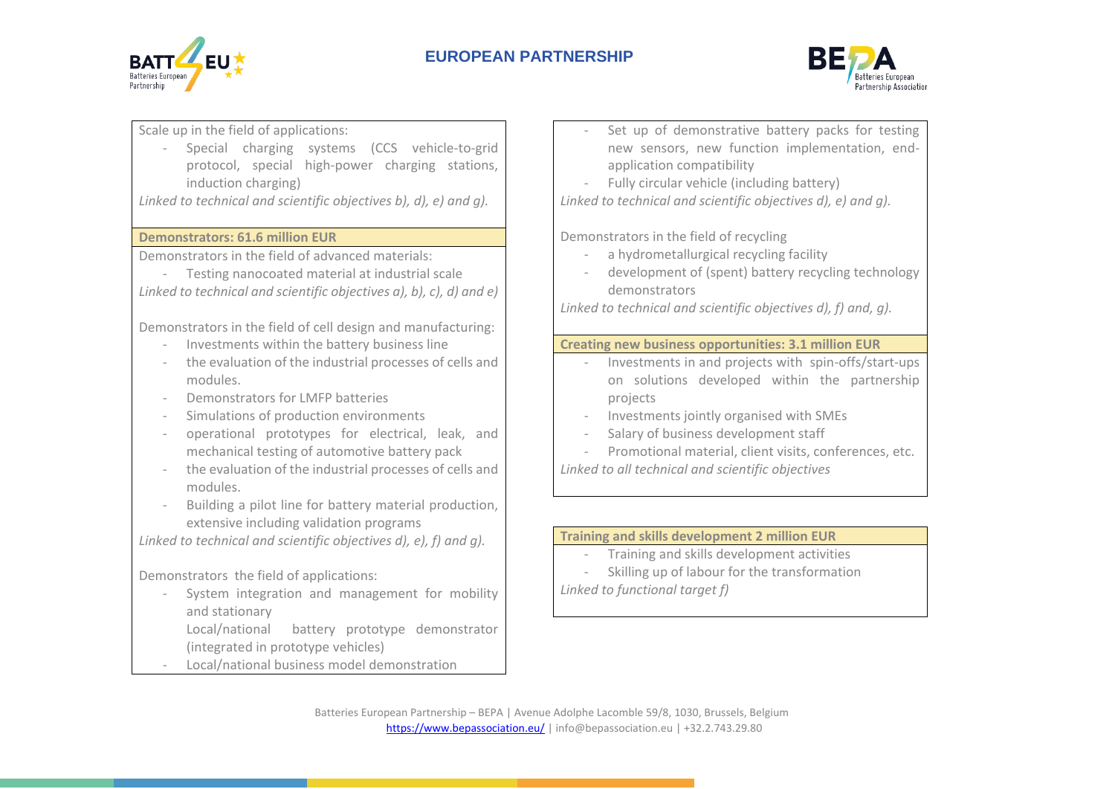



Scale up in the field of applications:

- Special charging systems (CCS vehicle-to-grid protocol, special high-power charging stations, induction charging)

*Linked to technical and scientific objectives b), d), e) and g).*

## **Demonstrators: 61.6 million EUR**

Demonstrators in the field of advanced materials:

- Testing nanocoated material at industrial scale *Linked to technical and scientific objectives a), b), c), d) and e)*

Demonstrators in the field of cell design and manufacturing:

- Investments within the battery business line
- the evaluation of the industrial processes of cells and modules.
- Demonstrators for LMFP batteries
- Simulations of production environments
- operational prototypes for electrical, leak, and mechanical testing of automotive battery pack
- the evaluation of the industrial processes of cells and modules.
- Building a pilot line for battery material production, extensive including validation programs

*Linked to technical and scientific objectives d), e), f) and g).*

Demonstrators the field of applications:

- System integration and management for mobility and stationary
	- Local/national battery prototype demonstrator (integrated in prototype vehicles)
- Local/national business model demonstration
- Set up of demonstrative battery packs for testing new sensors, new function implementation, endapplication compatibility
- Fully circular vehicle (including battery)

*Linked to technical and scientific objectives d), e) and g).*

Demonstrators in the field of recycling

- a hydrometallurgical recycling facility
- development of (spent) battery recycling technology demonstrators

*Linked to technical and scientific objectives d), f) and, g).*

# **Creating new business opportunities: 3.1 million EUR**

- Investments in and projects with spin-offs/start-ups on solutions developed within the partnership projects
- Investments jointly organised with SMEs
- Salary of business development staff
- Promotional material, client visits, conferences, etc. *Linked to all technical and scientific objectives*

# **Training and skills development 2 million EUR**

- Training and skills development activities
- Skilling up of labour for the transformation

*Linked to functional target f)*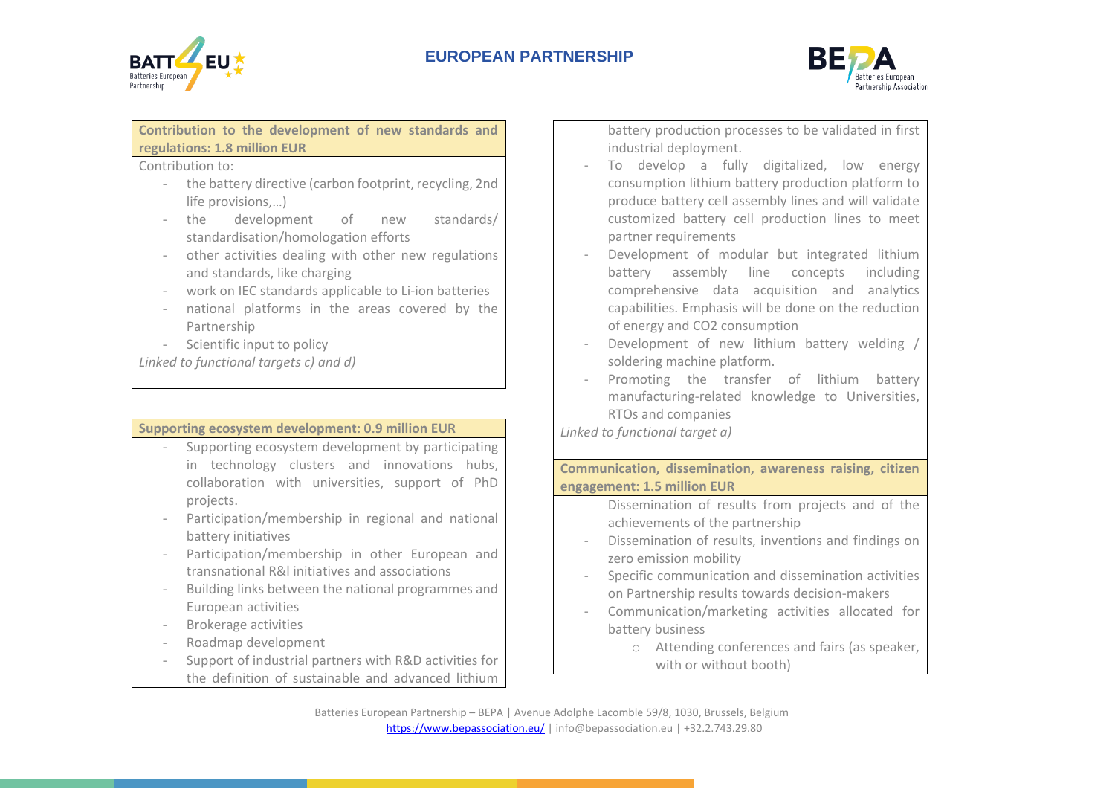



**Contribution to the development of new standards and regulations: 1.8 million EUR**

Contribution to:

- the battery directive (carbon footprint, recycling, 2nd life provisions,…)
- the development of new standards/ standardisation/homologation efforts
- other activities dealing with other new regulations and standards, like charging
- work on IEC standards applicable to Li-ion batteries
- national platforms in the areas covered by the Partnership
- Scientific input to policy

*Linked to functional targets c) and d)*

## **Supporting ecosystem development: 0.9 million EUR**

- Supporting ecosystem development by participating in technology clusters and innovations hubs, collaboration with universities, support of PhD projects.
- Participation/membership in regional and national battery initiatives
- Participation/membership in other European and transnational R&l initiatives and associations
- Building links between the national programmes and European activities
- Brokerage activities
- Roadmap development
- Support of industrial partners with R&D activities for the definition of sustainable and advanced lithium

battery production processes to be validated in first industrial deployment.

- To develop a fully digitalized, low energy consumption lithium battery production platform to produce battery cell assembly lines and will validate customized battery cell production lines to meet partner requirements
- Development of modular but integrated lithium battery assembly line concepts including comprehensive data acquisition and analytics capabilities. Emphasis will be done on the reduction of energy and CO2 consumption
- Development of new lithium battery welding soldering machine platform.
- Promoting the transfer of lithium battery manufacturing-related knowledge to Universities, RTOs and companies

*Linked to functional target a)*

**Communication, dissemination, awareness raising, citizen engagement: 1.5 million EUR**

> Dissemination of results from projects and of the achievements of the partnership

- Dissemination of results, inventions and findings on zero emission mobility
- Specific communication and dissemination activities on Partnership results towards decision-makers
- Communication/marketing activities allocated for battery business
	- o Attending conferences and fairs (as speaker, with or without booth)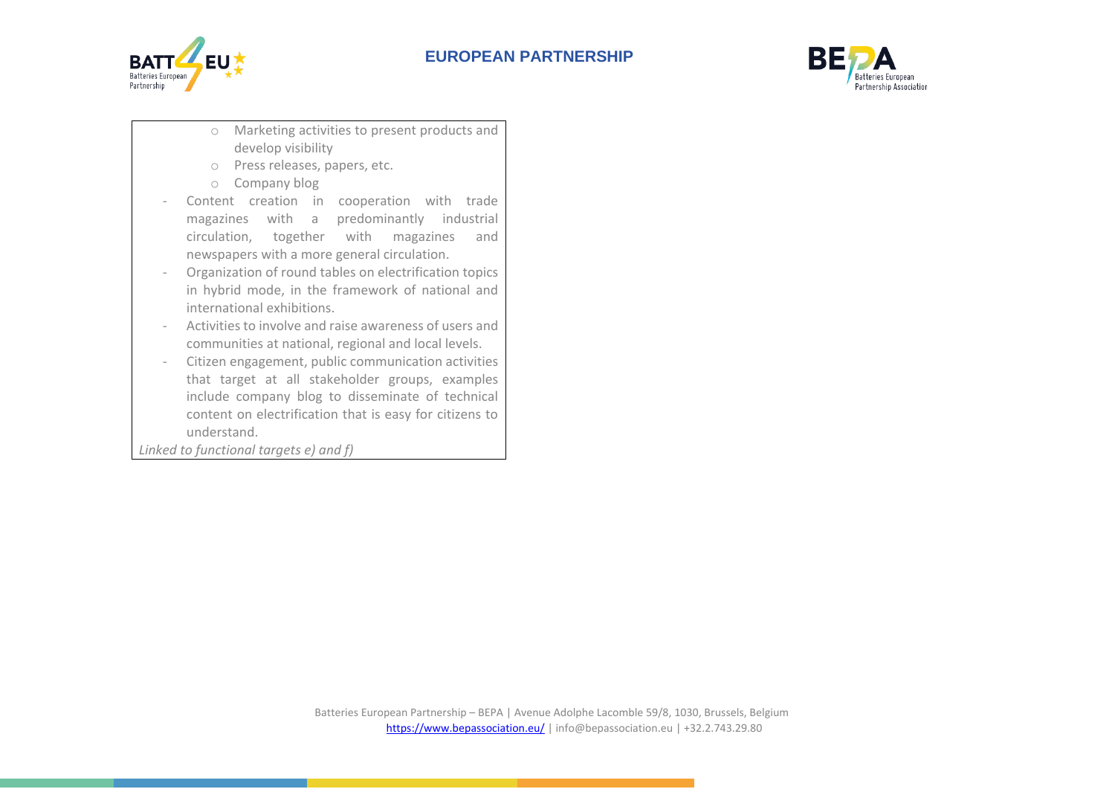



- o Marketing activities to present products and develop visibility
- o Press releases, papers, etc.
- o Company blog
- Content creation in cooperation with trade magazines with a predominantly industrial circulation, together with magazines and newspapers with a more general circulation.
- Organization of round tables on electrification topics in hybrid mode, in the framework of national and international exhibitions.
- Activities to involve and raise awareness of users and communities at national, regional and local levels.
- Citizen engagement, public communication activities that target at all stakeholder groups, examples include company blog to disseminate of technical content on electrification that is easy for citizens to understand.

<span id="page-13-0"></span>*Linked to functional targets e) and f)*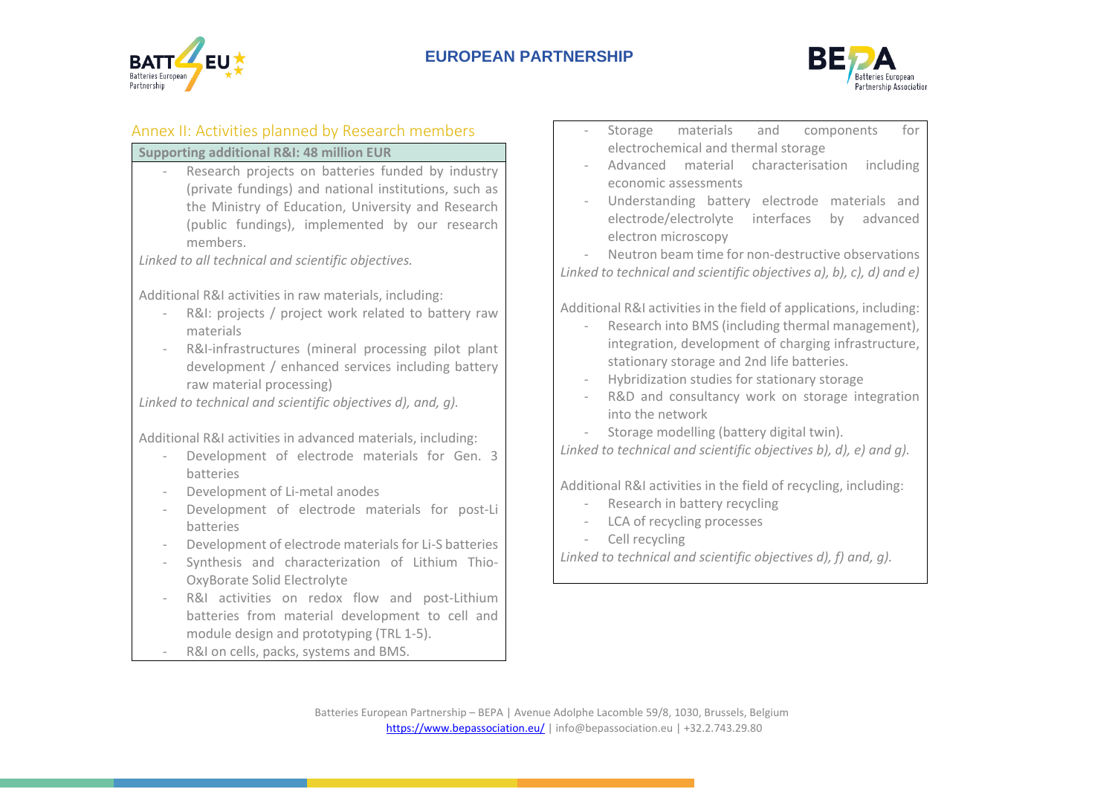



# Annex II: Activities planned by Research members

## **Supporting additional R&I: 48 million EUR**

- Research projects on batteries funded by industry (private fundings) and national institutions, such as the Ministry of Education, University and Research (public fundings), implemented by our research members.

*Linked to all technical and scientific objectives.*

Additional R&I activities in raw materials, including:

- R&I: projects / project work related to battery raw materials
- R&I-infrastructures (mineral processing pilot plant development / enhanced services including battery raw material processing)

*Linked to technical and scientific objectives d), and, g).*

Additional R&I activities in advanced materials, including:

- Development of electrode materials for Gen. 3 batteries
- Development of Li-metal anodes
- Development of electrode materials for post-Li batteries
- Development of electrode materials for Li-S batteries
- Synthesis and characterization of Lithium Thio-OxyBorate Solid Electrolyte
- R&I activities on redox flow and post-Lithium batteries from material development to cell and module design and prototyping (TRL 1-5).
- R&I on cells, packs, systems and BMS.
- Storage materials and components for electrochemical and thermal storage
- Advanced material characterisation including economic assessments
- Understanding battery electrode materials and electrode/electrolyte interfaces by advanced electron microscopy

- Neutron beam time for non-destructive observations *Linked to technical and scientific objectives a), b), c), d) and e)*

Additional R&I activities in the field of applications, including:

- Research into BMS (including thermal management), integration, development of charging infrastructure, stationary storage and 2nd life batteries.
- Hybridization studies for stationary storage
- R&D and consultancy work on storage integration into the network
- Storage modelling (battery digital twin).

*Linked to technical and scientific objectives b), d), e) and g).*

Additional R&I activities in the field of recycling, including:

- Research in battery recycling
- LCA of recycling processes
- Cell recycling

*Linked to technical and scientific objectives d), f) and, g).*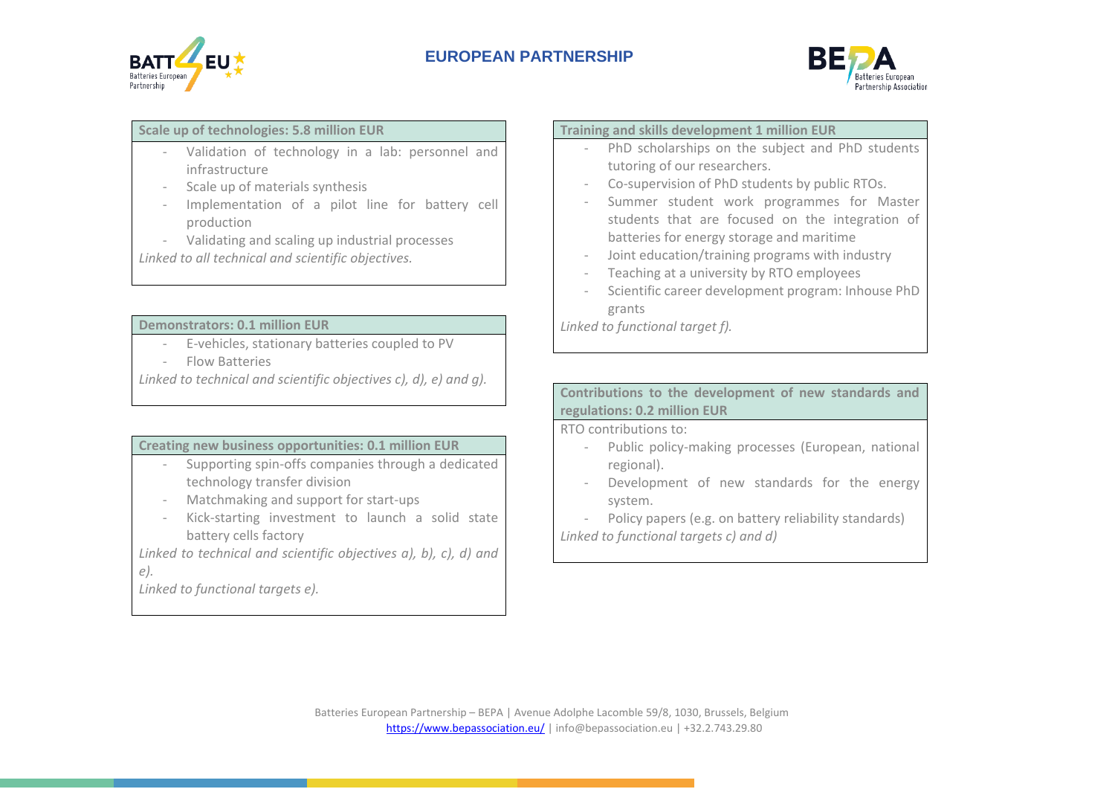



# **Scale up of technologies: 5.8 million EUR**

- Validation of technology in a lab: personnel and infrastructure
- Scale up of materials synthesis
- Implementation of a pilot line for battery cell production
- Validating and scaling up industrial processes

*Linked to all technical and scientific objectives.*

#### **Demonstrators: 0.1 million EUR**

- E-vehicles, stationary batteries coupled to PV
- Flow Batteries

*Linked to technical and scientific objectives c), d), e) and g).*

## **Creating new business opportunities: 0.1 million EUR**

- Supporting spin-offs companies through a dedicated technology transfer division
- Matchmaking and support for start-ups
- Kick-starting investment to launch a solid state battery cells factory

*Linked to technical and scientific objectives a), b), c), d) and e).*

*Linked to functional targets e).*

#### **Training and skills development 1 million EUR**

- PhD scholarships on the subject and PhD students tutoring of our researchers.
- Co-supervision of PhD students by public RTOs.
- Summer student work programmes for Master students that are focused on the integration of batteries for energy storage and maritime
- Joint education/training programs with industry
- Teaching at a university by RTO employees
- Scientific career development program: Inhouse PhD grants

*Linked to functional target f).*

## **Contributions to the development of new standards and regulations: 0.2 million EUR**

RTO contributions to:

- Public policy-making processes (European, national regional).
- Development of new standards for the energy system.
- Policy papers (e.g. on battery reliability standards) *Linked to functional targets c) and d)*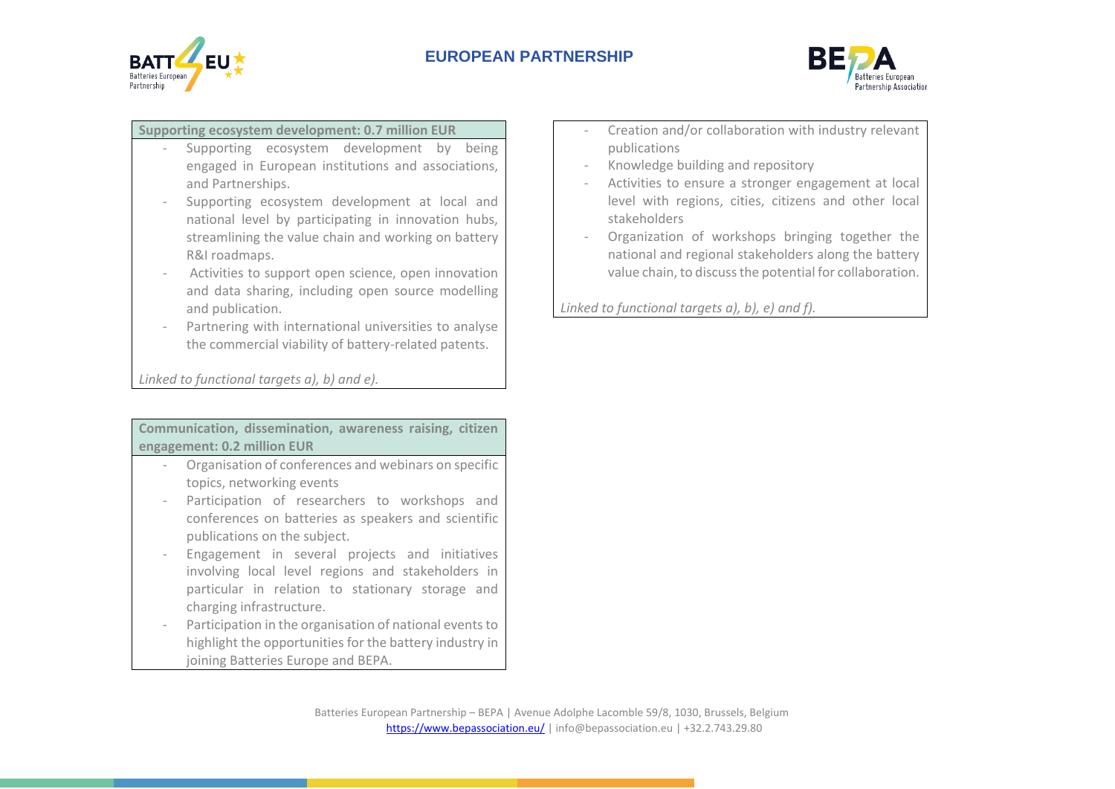



# **Supporting ecosystem development: 0.7 million EUR**

- Supporting ecosystem development by being engaged in European institutions and associations, and Partnerships.
- Supporting ecosystem development at local and national level by participating in innovation hubs, streamlining the value chain and working on battery R&I roadmaps.
- Activities to support open science, open innovation and data sharing, including open source modelling and publication.
- Partnering with international universities to analyse the commercial viability of battery-related patents.

*Linked to functional targets a), b) and e).*

**Communication, dissemination, awareness raising, citizen engagement: 0.2 million EUR**

- Organisation of conferences and webinars on specific topics, networking events
- Participation of researchers to workshops and conferences on batteries as speakers and scientific publications on the subject.
- Engagement in several projects and initiatives involving local level regions and stakeholders in particular in relation to stationary storage and charging infrastructure.
- Participation in the organisation of national events to highlight the opportunities for the battery industry in joining Batteries Europe and BEPA.
- Creation and/or collaboration with industry relevant publications
- Knowledge building and repository
- Activities to ensure a stronger engagement at local level with regions, cities, citizens and other local stakeholders
- Organization of workshops bringing together the national and regional stakeholders along the battery value chain, to discuss the potential for collaboration.

*Linked to functional targets a), b), e) and f).*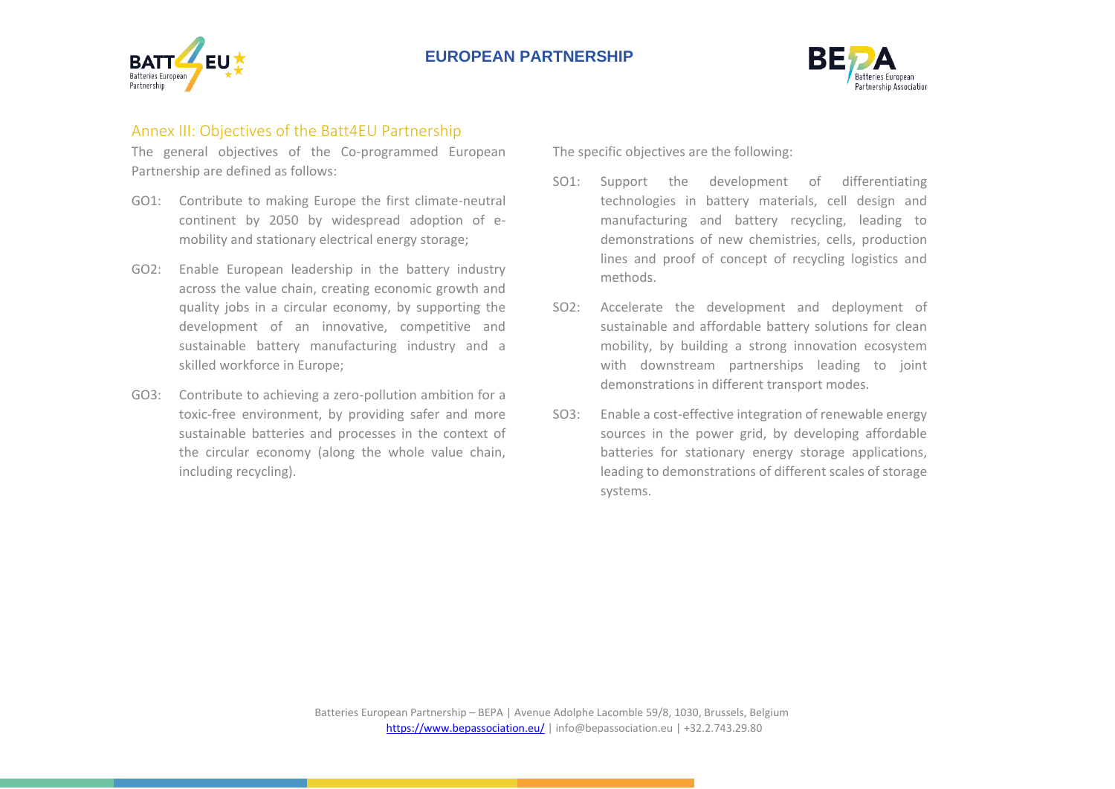



## Annex III: Objectives of the Batt4EU Partnership

The general objectives of the Co-programmed European Partnership are defined as follows:

- GO1: Contribute to making Europe the first climate-neutral continent by 2050 by widespread adoption of emobility and stationary electrical energy storage;
- GO2: Enable European leadership in the battery industry across the value chain, creating economic growth and quality jobs in a circular economy, by supporting the development of an innovative, competitive and sustainable battery manufacturing industry and a skilled workforce in Europe;
- GO3: Contribute to achieving a zero-pollution ambition for a toxic-free environment, by providing safer and more sustainable batteries and processes in the context of the circular economy (along the whole value chain, including recycling).

The specific objectives are the following:

- SO1: Support the development of differentiating technologies in battery materials, cell design and manufacturing and battery recycling, leading to demonstrations of new chemistries, cells, production lines and proof of concept of recycling logistics and methods.
- SO2: Accelerate the development and deployment of sustainable and affordable battery solutions for clean mobility, by building a strong innovation ecosystem with downstream partnerships leading to joint demonstrations in different transport modes.
- SO3: Enable a cost-effective integration of renewable energy sources in the power grid, by developing affordable batteries for stationary energy storage applications, leading to demonstrations of different scales of storage systems.